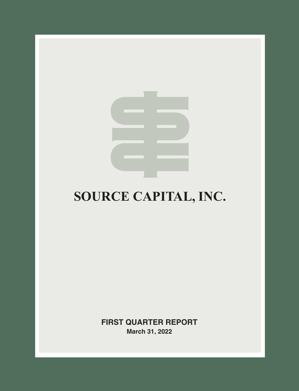

# **SOURCE CAPITAL, INC.**

**FIRST QUARTER REPORT March 31, 2022**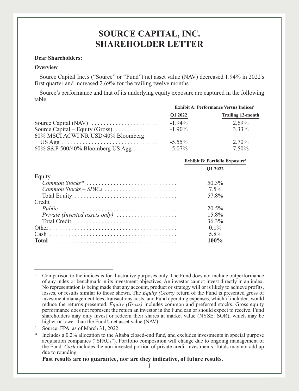# **SOURCE CAPITAL, INC. SHAREHOLDER LETTER**

### **Dear Shareholders:**

#### **Overview**

Source Capital Inc.'s ("Source" or "Fund") net asset value (NAV) decreased 1.94% in 2022's first quarter and increased 2.69% for the trailing twelve months.

Source's performance and that of its underlying equity exposure are captured in the following table:

|                                                                                           | <b>Exhibit A: Performance Versus Indices</b> <sup>1</sup> |                          |
|-------------------------------------------------------------------------------------------|-----------------------------------------------------------|--------------------------|
|                                                                                           | Q1 2022                                                   | <b>Trailing 12-month</b> |
|                                                                                           | $-1.94\%$                                                 | 2.69%                    |
| Source Capital – Equity (Gross) $\dots \dots \dots$<br>60% MSCI ACWI NR USD/40% Bloomberg | $-1.90\%$                                                 | 3.33%                    |
| $US Agg \dots \dots \dots \dots \dots \dots \dots \dots \dots \dots \dots$                | $-5.55\%$                                                 | $2.70\%$                 |
| $60\%$ S&P 500/40% Bloomberg US Agg                                                       | $-5.07\%$                                                 | 7.50%                    |

|                                                                                                        | <b>Exhibit B: Portfolio Exposure</b> <sup>2</sup> |
|--------------------------------------------------------------------------------------------------------|---------------------------------------------------|
|                                                                                                        | O1 2022                                           |
| Equity                                                                                                 |                                                   |
| Common Stocks <sup>*</sup>                                                                             | 50.3%                                             |
|                                                                                                        | $7.5\%$                                           |
|                                                                                                        | 57.8%                                             |
| Credit                                                                                                 |                                                   |
|                                                                                                        | 20.5%                                             |
|                                                                                                        | 15.8%                                             |
| Total Credit $\ldots \ldots \ldots \ldots \ldots \ldots \ldots \ldots \ldots \ldots$                   | $36.3\%$                                          |
|                                                                                                        | $0.1\%$                                           |
| $Cash \dots \dots \dots \dots \dots \dots \dots \dots \dots \dots \dots \dots \dots \dots \dots \dots$ | 5.8%                                              |
|                                                                                                        | 100%                                              |

**Past results are no guarantee, nor are they indicative, of future results.**

<sup>1</sup> Comparison to the indices is for illustrative purposes only. The Fund does not include outperformance of any index or benchmark in its investment objectives. An investor cannot invest directly in an index. No representation is being made that any account, product or strategy will or is likely to achieve profits, losses, or results similar to those shown. The *Equity (Gross)* return of the Fund is presented gross of investment management fees, transactions costs, and Fund operating expenses, which if included, would reduce the returns presented. *Equity (Gross)* includes common and preferred stocks. Gross equity performance does not represent the return an investor in the Fund can or should expect to receive. Fund shareholders may only invest or redeem their shares at market value (NYSE: SOR), which may be higher or lower than the Fund's net asset value (NAV).

Source: FPA, as of March 31, 2022.

<sup>\*</sup> Includes a 0.2% allocation to the Altaba closed-end fund, and excludes investments in special purpose acquisition companies ("SPACs"). Portfolio composition will change due to ongoing management of the Fund. *Cash* includes the non-invested portion of private credit investments. Totals may not add up due to rounding.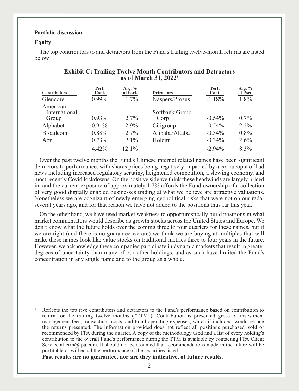#### **Portfolio discussion**

#### **Equity**

The top contributors to and detractors from the Fund's trailing twelve-month returns are listed below.

| <b>Contributors</b><br>Glencore    | Perf.<br>Cont.<br>$0.99\%$ | Avg. $%$<br>of Port.<br>$1.7\%$ | <b>Detractors</b><br>Naspers/Prosus | Perf.<br>Cont.<br>$-1.18%$ | Avg. $%$<br>of Port.<br>1.8% |
|------------------------------------|----------------------------|---------------------------------|-------------------------------------|----------------------------|------------------------------|
| American<br>International<br>Group | $0.93\%$                   | $2.7\%$                         | Softbank Group<br>Corp              | $-0.54%$                   | $0.7\%$                      |
| Alphabet                           | 0.91%                      | $2.9\%$                         | Citigroup                           | $-0.54%$                   | $2.2\%$                      |
| <b>Broadcom</b>                    | $0.88\%$                   | $2.7\%$                         | Alibaba/Altaba                      | $-0.34\%$                  | $0.8\%$                      |
| Aon                                | 0.73%                      | $2.1\%$                         | Holcim                              | $-0.34%$                   | $2.6\%$                      |
|                                    | 4.42%                      | $12.1\%$                        |                                     | $-2.94\%$                  | 8.3%                         |

## **Exhibit C: Trailing Twelve Month Contributors and Detractors as of March 31, 20223**

Over the past twelve months the Fund's Chinese internet related names have been significant detractors to performance, with shares prices being negatively impacted by a cornucopia of bad news including increased regulatory scrutiny, heightened competition, a slowing economy, and most recently Covid lockdowns. On the positive side we think these headwinds are largely priced in, and the current exposure of approximately 1.7% affords the Fund ownership of a collection of very good digitally enabled businesses trading at what we believe are attractive valuations. Nonetheless we are cognizant of newly emerging geopolitical risks that were not on our radar several years ago, and for that reason we have not added to the positions thus far this year.

On the other hand, we have used market weakness to opportunistically build positions in what market commentators would describe as growth stocks across the United States and Europe. We don't know what the future holds over the coming three to four quarters for these names, but if we are right (and there is no guarantee we are) we think we are buying at multiples that will make these names look like value stocks on traditional metrics three to four years in the future. However, we acknowledge these companies participate in dynamic markets that result in greater degrees of uncertainty than many of our other holdings, and as such have limited the Fund's concentration in any single name and to the group as a whole.

**Past results are no guarantee, nor are they indicative, of future results.**

<sup>3</sup> Reflects the top five contributors and detractors to the Fund's performance based on contribution to return for the trailing twelve months ("TTM"). Contribution is presented gross of investment management fees, transactions costs, and Fund operating expenses, which if included, would reduce the returns presented. The information provided does not reflect all positions purchased, sold or recommended by FPA during the quarter. A copy of the methodology used and a list of every holding's contribution to the overall Fund's performance during the TTM is available by contacting FPA Client Service at crm@fpa.com. It should not be assumed that recommendations made in the future will be profitable or will equal the performance of the securities listed.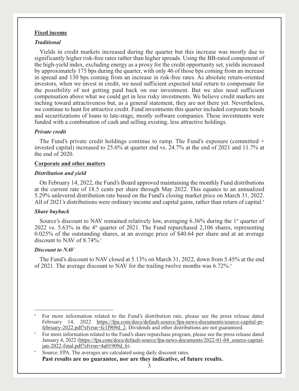### **Fixed income**

## *Traditional*

Yields in credit markets increased during the quarter but this increase was mostly due to significantly higher risk-free rates rather than higher spreads. Using the BB-rated component of the high-yield index, excluding energy as a proxy for the credit opportunity set, yields increased by approximately 175 bps during the quarter, with only 46 of those bps coming from an increase in spread and 130 bps coming from an increase in risk-free rates. As absolute return-oriented investors, when we invest in credit, we need sufficient expected total return to compensate for the possibility of not getting paid back on our investment. But we also need sufficient compensation above what we could get in less risky investments. We believe credit markets are inching toward attractiveness but, as a general statement, they are not there yet. Nevertheless, we continue to hunt for attractive credit. Fund investments this quarter included corporate bonds and securitizations of loans to late-stage, mostly software companies. These investments were funded with a combination of cash and selling existing, less attractive holdings.

#### *Private credit*

The Fund's private credit holdings continue to ramp. The Fund's exposure (committed  $+$ invested capital) increased to 25.6% at quarter end vs. 24.7% at the end of 2021 and 11.7% at the end of 2020.

#### **Corporate and other matters**

#### *Distribution and yield*

On February 14, 2022, the Fund's Board approved maintaining the monthly Fund distributions at the current rate of 18.5 cents per share through May 2022. This equates to an annualized 5.29% unlevered distribution rate based on the Fund's closing market price on March 31, 2022. All of 2021's distributions were ordinary income and capital gains, rather than return of capital.<sup>4</sup>

### *Share buyback*

Source's discount to NAV remained relatively low, averaging  $6.36\%$  during the 1<sup>st</sup> quarter of 2022 vs. 5.63% in the  $4<sup>th</sup>$  quarter of 2021. The Fund repurchased 2,106 shares, representing 0.025% of the outstanding shares, at an average price of \$40.64 per share and at an average discount to NAV of 8.74%<sup>5</sup>

#### *Discount to NAV*

The Fund's discount to NAV closed at 5.13% on March 31, 2022, down from 5.45% at the end of 2021. The average discount to NAV for the trailing twelve months was  $6.72\%$ .<sup>6</sup>

Source: FPA. The averages are calculated using daily discount rates. **Past results are no guarantee, nor are they indicative, of future results.**

3

<sup>4</sup> For more information related to the Fund's distribution rate, please see the press release dated February 14, 2022 https://fpa.com/docs/default-source/fpa-news-documents/source-capital-prfebruary-2022.pdf?sfvrsn=fc1f909d\_2. Dividends and other distributions are not guaranteed.

<sup>5</sup> For more information related to the Fund's share repurchase program, please see the press release dated January 4, 2022 (https://fpa.com/docs/default-source/fpa-news-documents/2022-01-04\_source-capitaljan-2022-final.pdf?sfvrsn=4a01909d\_6).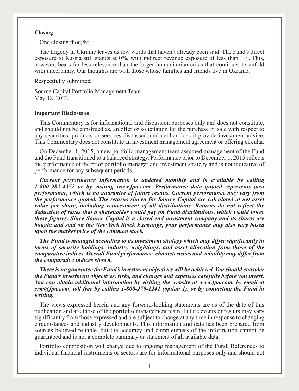#### **Closing**

One closing thought.

The tragedy in Ukraine leaves us few words that haven't already been said. The Fund's direct exposure to Russia still stands at 0%, with indirect revenue exposure of less than 1%. This, however, bears far less relevance than the larger humanitarian crisis that continues to unfold with uncertainty. Our thoughts are with those whose families and friends live in Ukraine.

Respectfully submitted,

Source Capital Portfolio Management Team May 18, 2022

#### **Important Disclosures**

This Commentary is for informational and discussion purposes only and does not constitute, and should not be construed as, an offer or solicitation for the purchase or sale with respect to any securities, products or services discussed, and neither does it provide investment advice. This Commentary does not constitute an investment management agreement or offering circular.

On December 1, 2015, a new portfolio management team assumed management of the Fund and the Fund transitioned to a balanced strategy. Performance prior to December 1, 2015 reflects the performance of the prior portfolio manager and investment strategy and is not indicative of performance for any subsequent periods.

*Current performance information is updated monthly and is available by calling 1-800-982-4372 or by visiting www.fpa.com. Performance data quoted represents past performance, which is no guarantee of future results. Current performance may vary from the performance quoted. The returns shown for Source Capital are calculated at net asset value per share, including reinvestment of all distributions. Returns do not reflect the deduction of taxes that a shareholder would pay on Fund distributions, which would lower these figures. Since Source Capital is a closed-end investment company and its shares are bought and sold on the New York Stock Exchange, your performance may also vary based upon the market price of the common stock.*

*The Fund is managed according to its investment strategy which may differ significantly in terms of security holdings, industry weightings, and asset allocation from those of the comparative indices. Overall Fund performance, characteristics and volatility may differ from the comparative indices shown.*

*There is no guarantee the Fund's investment objectives will be achieved. You should consider the Fund's investment objectives, risks, and charges and expenses carefully before you invest. You can obtain additional information by visiting the website at www.fpa.com, by email at crm@fpa.com, toll free by calling 1-800-279-1241 (option 1), or by contacting the Fund in writing.*

The views expressed herein and any forward-looking statements are as of the date of this publication and are those of the portfolio management team. Future events or results may vary significantly from those expressed and are subject to change at any time in response to changing circumstances and industry developments. This information and data has been prepared from sources believed reliable, but the accuracy and completeness of the information cannot be guaranteed and is not a complete summary or statement of all available data.

Portfolio composition will change due to ongoing management of the Fund. References to individual financial instruments or sectors are for informational purposes only and should not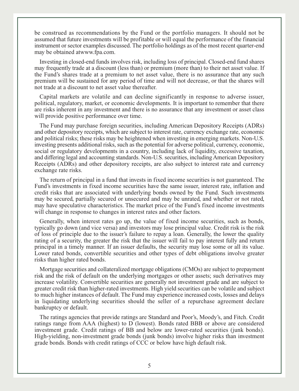be construed as recommendations by the Fund or the portfolio managers. It should not be assumed that future investments will be profitable or will equal the performance of the financial instrument or sector examples discussed. The portfolio holdings as of the most recent quarter-end may be obtained atwww.fpa.com.

Investing in closed-end funds involves risk, including loss of principal. Closed-end fund shares may frequently trade at a discount (less than) or premium (more than) to their net asset value. If the Fund's shares trade at a premium to net asset value, there is no assurance that any such premium will be sustained for any period of time and will not decrease, or that the shares will not trade at a discount to net asset value thereafter.

Capital markets are volatile and can decline significantly in response to adverse issuer, political, regulatory, market, or economic developments. It is important to remember that there are risks inherent in any investment and there is no assurance that any investment or asset class will provide positive performance over time.

The Fund may purchase foreign securities, including American Depository Receipts (ADRs) and other depository receipts, which are subject to interest rate, currency exchange rate, economic and political risks; these risks may be heightened when investing in emerging markets. Non-U.S. investing presents additional risks, such as the potential for adverse political, currency, economic, social or regulatory developments in a country, including lack of liquidity, excessive taxation, and differing legal and accounting standards. Non-U.S. securities, including American Depository Receipts (ADRs) and other depository receipts, are also subject to interest rate and currency exchange rate risks.

The return of principal in a fund that invests in fixed income securities is not guaranteed. The Fund's investments in fixed income securities have the same issuer, interest rate, inflation and credit risks that are associated with underlying bonds owned by the Fund. Such investments may be secured, partially secured or unsecured and may be unrated, and whether or not rated, may have speculative characteristics. The market price of the Fund's fixed income investments will change in response to changes in interest rates and other factors.

Generally, when interest rates go up, the value of fixed income securities, such as bonds, typically go down (and vice versa) and investors may lose principal value. Credit risk is the risk of loss of principle due to the issuer's failure to repay a loan. Generally, the lower the quality rating of a security, the greater the risk that the issuer will fail to pay interest fully and return principal in a timely manner. If an issuer defaults, the security may lose some or all its value. Lower rated bonds, convertible securities and other types of debt obligations involve greater risks than higher rated bonds.

Mortgage securities and collateralized mortgage obligations (CMOs) are subject to prepayment risk and the risk of default on the underlying mortgages or other assets; such derivatives may increase volatility. Convertible securities are generally not investment grade and are subject to greater credit risk than higher-rated investments. High yield securities can be volatile and subject to much higher instances of default. The Fund may experience increased costs, losses and delays in liquidating underlying securities should the seller of a repurchase agreement declare bankruptcy or default.

The ratings agencies that provide ratings are Standard and Poor's, Moody's, and Fitch. Credit ratings range from AAA (highest) to D (lowest). Bonds rated BBB or above are considered investment grade. Credit ratings of BB and below are lower-rated securities (junk bonds). High-yielding, non-investment grade bonds (junk bonds) involve higher risks than investment grade bonds. Bonds with credit ratings of CCC or below have high default risk.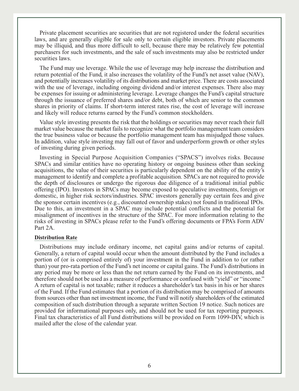Private placement securities are securities that are not registered under the federal securities laws, and are generally eligible for sale only to certain eligible investors. Private placements may be illiquid, and thus more difficult to sell, because there may be relatively few potential purchasers for such investments, and the sale of such investments may also be restricted under securities laws.

The Fund may use leverage. While the use of leverage may help increase the distribution and return potential of the Fund, it also increases the volatility of the Fund's net asset value (NAV), and potentially increases volatility of its distributions and market price. There are costs associated with the use of leverage, including ongoing dividend and/or interest expenses. There also may be expenses for issuing or administering leverage. Leverage changes the Fund's capital structure through the issuance of preferred shares and/or debt, both of which are senior to the common shares in priority of claims. If short-term interest rates rise, the cost of leverage will increase and likely will reduce returns earned by the Fund's common stockholders.

Value style investing presents the risk that the holdings or securities may never reach their full market value because the market fails to recognize what the portfolio management team considers the true business value or because the portfolio management team has misjudged those values. In addition, value style investing may fall out of favor and underperform growth or other styles of investing during given periods.

Investing in Special Purpose Acquisition Companies ("SPACS") involves risks. Because SPACs and similar entities have no operating history or ongoing business other than seeking acquisitions, the value of their securities is particularly dependent on the ability of the entity's management to identify and complete a profitable acquisition. SPACs are not required to provide the depth of disclosures or undergo the rigorous due diligence of a traditional initial public offering (IPO). Investors in SPACs may become exposed to speculative investments, foreign or domestic, in higher risk sectors/industries. SPAC investors generally pay certain fees and give the sponsor certain incentives (e.g., discounted ownership stakes) not found in traditional IPOs. Due to this, an investment in a SPAC may include potential conflicts and the potential for misalignment of incentives in the structure of the SPAC. For more information relating to the risks of investing in SPACs please refer to the Fund's offering documents or FPA's Form ADV Part 2A.

#### **Distribution Rate**

Distributions may include ordinary income, net capital gains and/or returns of capital. Generally, a return of capital would occur when the amount distributed by the Fund includes a portion of (or is comprised entirely of) your investment in the Fund in addition to (or rather than) your pro-rata portion of the Fund's net income or capital gains. The Fund's distributions in any period may be more or less than the net return earned by the Fund on its investments, and therefore should not be used as a measure of performance or confused with "yield" or "income." A return of capital is not taxable; rather it reduces a shareholder's tax basis in his or her shares of the Fund. If the Fund estimates that a portion of its distribution may be comprised of amounts from sources other than net investment income, the Fund will notify shareholders of the estimated composition of such distribution through a separate written Section 19 notice. Such notices are provided for informational purposes only, and should not be used for tax reporting purposes. Final tax characteristics of all Fund distributions will be provided on Form 1099-DIV, which is mailed after the close of the calendar year.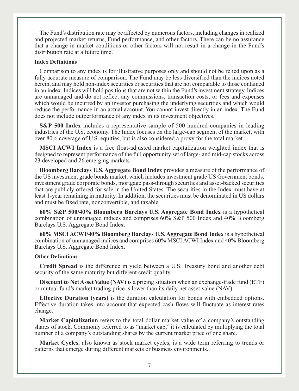The Fund's distribution rate may be affected by numerous factors, including changes in realized and projected market returns, Fund performance, and other factors. There can be no assurance that a change in market conditions or other factors will not result in a change in the Fund's distribution rate at a future time.

#### **Index Definitions**

Comparison to any index is for illustrative purposes only and should not be relied upon as a fully accurate measure of comparison. The Fund may be less diversified than the indices noted herein, and may hold non-index securities or securities that are not comparable to those contained in an index. Indices will hold positions that are not within the Fund's investment strategy. Indices are unmanaged and do not reflect any commissions, transaction costs, or fees and expenses which would be incurred by an investor purchasing the underlying securities and which would reduce the performance in an actual account. You cannot invest directly in an index. The Fund does not include outperformance of any index in its investment objectives.

**S&P 500 Index** includes a representative sample of 500 hundred companies in leading industries of the U.S. economy. The Index focuses on the large-cap segment of the market, with over 80% coverage of U.S. equities, but is also considered a proxy for the total market.

**MSCI ACWI Index** is a free float-adjusted market capitalization weighted index that is designed to represent performance of the full opportunity set of large- and mid-cap stocks across 23 developed and 26 emerging markets.

**Bloomberg Barclays U.S. Aggregate Bond Index** provides a measure of the performance of the US investment grade bonds market, which includes investment grade US Government bonds, investment grade corporate bonds, mortgage pass-through securities and asset-backed securities that are publicly offered for sale in the United States. The securities in the Index must have at least 1-year remaining in maturity. In addition, the securities must be denominated in US dollars and must be fixed rate, nonconvertible, and taxable.

**60% S&P 500/40% Bloomberg Barclays U.S. Aggregate Bond Index** is a hypothetical combination of unmanaged indices and comprises 60% S&P 500 Index and 40% Bloomberg Barclays U.S. Aggregate Bond Index.

**60% MSCI ACWI/40% Bloomberg Barclays U.S. Aggregate Bond Index** is a hypothetical combination of unmanaged indices and comprises 60% MSCI ACWI Index and 40% Bloomberg Barclays U.S. Aggregate Bond Index.

#### **Other Definitions**

**Credit Spread** is the difference in yield between a U.S. Treasury bond and another debt security of the same maturity but different credit quality

**Discount to Net Asset Value (NAV)** is a pricing situation when an exchange-trade fund (ETF) or mutual fund's market trading price is lower than its daily net asset value (NAV).

**Effective Duration (years)** is the duration calculation for bonds with embedded options. Effective duration takes into account that expected cash flows will fluctuate as interest rates change.

**Market Capitalization** refers to the total dollar market value of a company's outstanding shares of stock. Commonly referred to as "market cap," it is calculated by multiplying the total number of a company's outstanding shares by the current market price of one share.

**Market Cycles**, also known as stock market cycles, is a wide term referring to trends or patterns that emerge during different markets or business environments.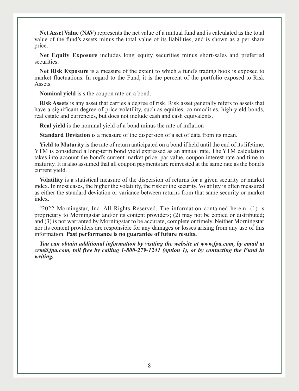Net Asset Value (NAV) represents the net value of a mutual fund and is calculated as the total value of the fund's assets minus the total value of its liabilities, and is shown as a per share price.

**Net Equity Exposure** includes long equity securities minus short-sales and preferred securities.

**Net Risk Exposure** is a measure of the extent to which a fund's trading book is exposed to market fluctuations. In regard to the Fund, it is the percent of the portfolio exposed to Risk Assets.

**Nominal yield** is s the coupon rate on a bond.

**Risk Assets** is any asset that carries a degree of risk. Risk asset generally refers to assets that have a significant degree of price volatility, such as equities, commodities, high-yield bonds, real estate and currencies, but does not include cash and cash equivalents.

**Real yield** is the nominal yield of a bond minus the rate of inflation

**Standard Deviation** is a measure of the dispersion of a set of data from its mean.

**Yield to Maturity** is the rate of return anticipated on a bond if held until the end of its lifetime. YTM is considered a long-term bond yield expressed as an annual rate. The YTM calculation takes into account the bond's current market price, par value, coupon interest rate and time to maturity. It is also assumed that all coupon payments are reinvested at the same rate as the bond's current yield.

**Volatility** is a statistical measure of the dispersion of returns for a given security or market index. In most cases, the higher the volatility, the riskier the security. Volatility is often measured as either the standard deviation or variance between returns from that same security or market index.

 $^{\circ}2022$  Morningstar, Inc. All Rights Reserved. The information contained herein: (1) is proprietary to Morningstar and/or its content providers; (2) may not be copied or distributed; and (3) is not warranted by Morningstar to be accurate, complete or timely. Neither Morningstar nor its content providers are responsible for any damages or losses arising from any use of this information. **Past performance is no guarantee of future results.**

*You can obtain additional information by visiting the website at www.fpa.com, by email at crm@fpa.com, toll free by calling 1-800-279-1241 (option 1), or by contacting the Fund in writing.*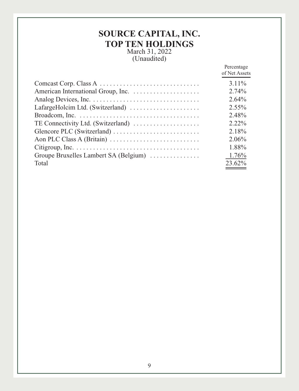# **SOURCE CAPITAL, INC. TOP TEN HOLDINGS**

March 31, 2022 (Unaudited)

|                                       | Percentage<br>of Net Assets |
|---------------------------------------|-----------------------------|
|                                       | $3.11\%$                    |
|                                       | 2.74%                       |
|                                       | $2.64\%$                    |
| LafargeHolcim Ltd. (Switzerland)      | $2.55\%$                    |
|                                       | 2.48%                       |
| TE Connectivity Ltd. (Switzerland)    | $2.22\%$                    |
|                                       | 2.18%                       |
|                                       | 2.06%                       |
|                                       | 1.88%                       |
| Groupe Bruxelles Lambert SA (Belgium) | 1.76%                       |
| Total                                 | 23.62%                      |
|                                       |                             |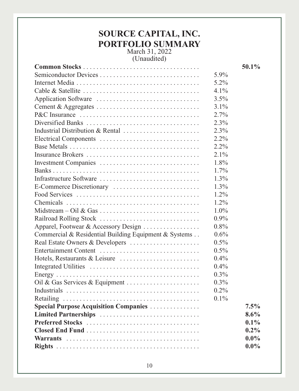# **SOURCE CAPITAL, INC. PORTFOLIO SUMMARY** March 31, 2022

(Unaudited)

|                                                       |         | 50.1%   |
|-------------------------------------------------------|---------|---------|
| Semiconductor Devices                                 | 5.9%    |         |
|                                                       | 5.2%    |         |
|                                                       | 4.1%    |         |
|                                                       | 3.5%    |         |
| Cement & Aggregates                                   | $3.1\%$ |         |
|                                                       | 2.7%    |         |
| Diversified Banks                                     | 2.3%    |         |
| Industrial Distribution & Rental                      | 2.3%    |         |
| Electrical Components                                 | 2.2%    |         |
|                                                       | 2.2%    |         |
|                                                       | $2.1\%$ |         |
| Investment Companies                                  | 1.8%    |         |
|                                                       | $1.7\%$ |         |
| Infrastructure Software                               | 1.3%    |         |
| E-Commerce Discretionary                              | 1.3%    |         |
|                                                       | $1.2\%$ |         |
|                                                       | $1.2\%$ |         |
|                                                       | $1.0\%$ |         |
| Railroad Rolling Stock                                | $0.9\%$ |         |
| Apparel, Footwear & Accessory Design                  | 0.8%    |         |
| Commercial & Residential Building Equipment & Systems | 0.6%    |         |
| Real Estate Owners & Developers                       | 0.5%    |         |
| Entertainment Content                                 | 0.5%    |         |
| Hotels, Restaurants & Leisure                         | $0.4\%$ |         |
|                                                       | $0.4\%$ |         |
|                                                       | 0.3%    |         |
| Oil & Gas Services & Equipment                        | $0.3\%$ |         |
|                                                       | 0.2%    |         |
|                                                       | $0.1\%$ |         |
| <b>Special Purpose Acquisition Companies </b>         |         | 7.5%    |
| Limited Partnerships                                  |         | $8.6\%$ |
| Preferred Stocks                                      |         | $0.1\%$ |
|                                                       |         | $0.2\%$ |
|                                                       |         | $0.0\%$ |
|                                                       |         | $0.0\%$ |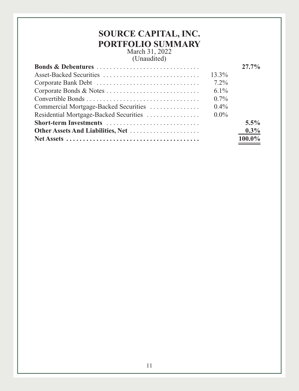# **SOURCE CAPITAL, INC. PORTFOLIO SUMMARY** March 31, 2022

(Unaudited)

|                                       |          | $27.7\%$ |
|---------------------------------------|----------|----------|
|                                       | $13.3\%$ |          |
|                                       | $7.2\%$  |          |
|                                       | $6.1\%$  |          |
|                                       | $0.7\%$  |          |
| Commercial Mortgage-Backed Securities | $0.4\%$  |          |
|                                       | $0.0\%$  |          |
|                                       |          | $5.5\%$  |
|                                       |          | $0.3\%$  |
|                                       |          | 100.0%   |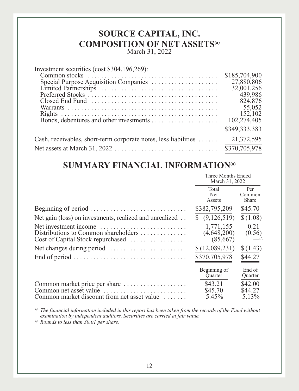# **SOURCE CAPITAL, INC. COMPOSITION OF NET ASSETS(a)**

March 31, 2022

| Investment securities (cost \$304,196,269):                     |               |
|-----------------------------------------------------------------|---------------|
|                                                                 | \$185,704,900 |
| Special Purpose Acquisition Companies                           | 27,880,806    |
|                                                                 | 32,001,256    |
|                                                                 | 439,986       |
|                                                                 | 824,876       |
|                                                                 | 55,052        |
|                                                                 | 152,102       |
|                                                                 | 102,274,405   |
|                                                                 | \$349,333,383 |
| Cash, receivables, short-term corporate notes, less liabilities | 21,372,595    |
|                                                                 | \$370,705,978 |

# **SUMMARY FINANCIAL INFORMATION(a)**

|                                                                                                                                                         | Three Months Ended<br>March 31, 2022 |                               |
|---------------------------------------------------------------------------------------------------------------------------------------------------------|--------------------------------------|-------------------------------|
|                                                                                                                                                         | Total<br><b>Net</b><br>Assets        | Per<br>Common<br><b>Share</b> |
|                                                                                                                                                         | \$382,795,209                        | \$45.70                       |
| Net gain (loss) on investments, realized and unrealized                                                                                                 | (9,126,519)<br>S.                    | \$(1.08)                      |
| Net investment income<br>Distributions to Common shareholders<br>Cost of Capital Stock repurchased                                                      | 1,771,155<br>(4,648,200)<br>(85,667) | 0.21<br>(0.56)<br>(b)         |
|                                                                                                                                                         | \$(12,089,231)                       | \$(1.43)                      |
| End of period $\dots \dots \dots \dots \dots \dots \dots \dots \dots \dots \dots$                                                                       | \$370,705,978                        | \$44.27                       |
|                                                                                                                                                         | Beginning of<br><b>Ouarter</b>       | End of<br>Quarter             |
| Common market price per share<br>Common net asset value $\ldots, \ldots, \ldots, \ldots, \ldots, \ldots$<br>Common market discount from net asset value | \$43.21<br>\$45.70<br>5.45%          | \$42.00<br>\$44.27<br>5.13%   |

*(a) The financial information included in this report has been taken from the records of the Fund without examination by independent auditors. Securities are carried at fair value.*

*(b) Rounds to less than \$0.01 per share.*